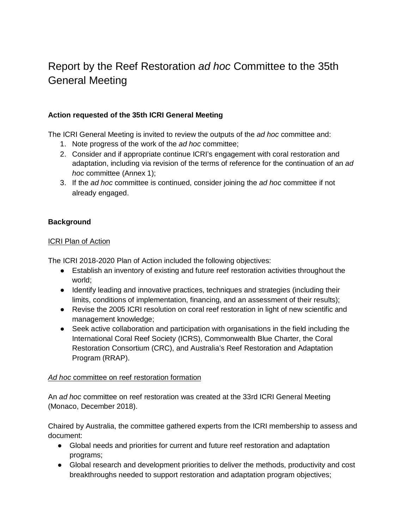# Report by the Reef Restoration *ad hoc* Committee to the 35th General Meeting

# **Action requested of the 35th ICRI General Meeting**

The ICRI General Meeting is invited to review the outputs of the *ad hoc* committee and:

- 1. Note progress of the work of the *ad hoc* committee;
- 2. Consider and if appropriate continue ICRI's engagement with coral restoration and adaptation, including via revision of the terms of reference for the continuation of an *ad hoc* committee (Annex 1);
- 3. If the *ad hoc* committee is continued, consider joining the *ad hoc* committee if not already engaged.

# **Background**

## ICRI Plan of Action

The ICRI 2018-2020 Plan of Action included the following objectives:

- Establish an inventory of existing and future reef restoration activities throughout the world;
- Identify leading and innovative practices, techniques and strategies (including their limits, conditions of implementation, financing, and an assessment of their results);
- Revise the 2005 ICRI resolution on coral reef restoration in light of new scientific and management knowledge;
- Seek active collaboration and participation with organisations in the field including the International Coral Reef Society (ICRS), Commonwealth Blue Charter, the Coral Restoration Consortium (CRC), and Australia's Reef Restoration and Adaptation Program (RRAP).

# *Ad hoc* committee on reef restoration formation

An *ad hoc* committee on reef restoration was created at the 33rd ICRI General Meeting (Monaco, December 2018).

Chaired by Australia, the committee gathered experts from the ICRI membership to assess and document:

- Global needs and priorities for current and future reef restoration and adaptation programs;
- Global research and development priorities to deliver the methods, productivity and cost breakthroughs needed to support restoration and adaptation program objectives;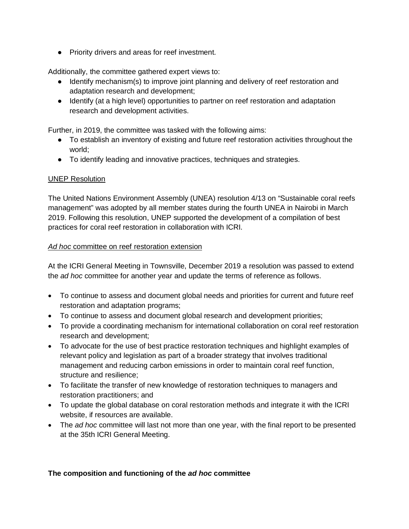● Priority drivers and areas for reef investment.

Additionally, the committee gathered expert views to:

- Identify mechanism(s) to improve joint planning and delivery of reef restoration and adaptation research and development;
- Identify (at a high level) opportunities to partner on reef restoration and adaptation research and development activities.

Further, in 2019, the committee was tasked with the following aims:

- To establish an inventory of existing and future reef restoration activities throughout the world;
- To identify leading and innovative practices, techniques and strategies.

# UNEP Resolution

The United Nations Environment Assembly (UNEA) resolution 4/13 on "Sustainable coral reefs management" was adopted by all member states during the fourth UNEA in Nairobi in March 2019. Following this resolution, UNEP supported the development of a compilation of best practices for coral reef restoration in collaboration with ICRI.

## *Ad hoc* committee on reef restoration extension

At the ICRI General Meeting in Townsville, December 2019 a resolution was passed to extend the *ad hoc* committee for another year and update the terms of reference as follows.

- To continue to assess and document global needs and priorities for current and future reef restoration and adaptation programs;
- To continue to assess and document global research and development priorities;
- To provide a coordinating mechanism for international collaboration on coral reef restoration research and development;
- To advocate for the use of best practice restoration techniques and highlight examples of relevant policy and legislation as part of a broader strategy that involves traditional management and reducing carbon emissions in order to maintain coral reef function, structure and resilience;
- To facilitate the transfer of new knowledge of restoration techniques to managers and restoration practitioners; and
- To update the global database on coral restoration methods and integrate it with the ICRI website, if resources are available.
- The *ad hoc* committee will last not more than one year, with the final report to be presented at the 35th ICRI General Meeting.

#### **The composition and functioning of the** *ad hoc* **committee**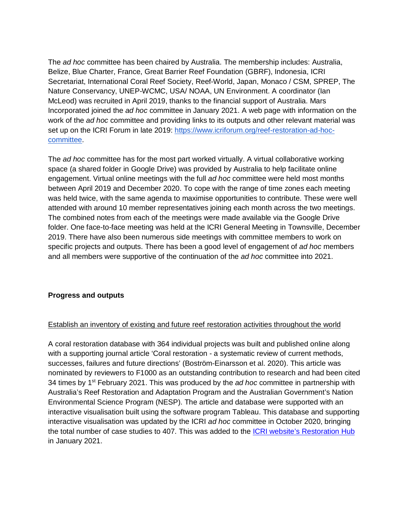The *ad hoc* committee has been chaired by Australia. The membership includes: Australia, Belize, Blue Charter, France, Great Barrier Reef Foundation (GBRF), Indonesia, ICRI Secretariat, International Coral Reef Society, Reef-World, Japan, Monaco / CSM, SPREP, The Nature Conservancy, UNEP-WCMC, USA/ NOAA, UN Environment. A coordinator (Ian McLeod) was recruited in April 2019, thanks to the financial support of Australia. Mars Incorporated joined the *ad hoc* committee in January 2021. A web page with information on the work of the *ad hoc* committee and providing links to its outputs and other relevant material was set up on the ICRI Forum in late 2019: [https://www.icriforum.org/reef-restoration-ad-hoc](https://www.icriforum.org/reef-restoration-ad-hoc-committee/)[committee.](https://www.icriforum.org/reef-restoration-ad-hoc-committee/)

The *ad hoc* committee has for the most part worked virtually. A virtual collaborative working space (a shared folder in Google Drive) was provided by Australia to help facilitate online engagement. Virtual online meetings with the full *ad hoc* committee were held most months between April 2019 and December 2020. To cope with the range of time zones each meeting was held twice, with the same agenda to maximise opportunities to contribute. These were well attended with around 10 member representatives joining each month across the two meetings. The combined notes from each of the meetings were made available via the Google Drive folder. One face-to-face meeting was held at the ICRI General Meeting in Townsville, December 2019. There have also been numerous side meetings with committee members to work on specific projects and outputs. There has been a good level of engagement of *ad hoc* members and all members were supportive of the continuation of the *ad hoc* committee into 2021.

#### **Progress and outputs**

#### Establish an inventory of existing and future reef restoration activities throughout the world

A coral restoration database with 364 individual projects was built and published online along with a supporting journal article 'Coral restoration - a systematic review of current methods, successes, failures and future directions' (Boström-Einarsson et al. 2020). This article was nominated by reviewers to F1000 as an outstanding contribution to research and had been cited 34 times by 1<sup>st</sup> February 2021. This was produced by the *ad hoc* committee in partnership with Australia's Reef Restoration and Adaptation Program and the Australian Government's Nation Environmental Science Program (NESP). The article and database were supported with an interactive visualisation built using the software program Tableau. This database and supporting interactive visualisation was updated by the ICRI *ad hoc* committee in October 2020, bringing the total number of case studies to 407. This was added to the [ICRI website's Restoration Hub](https://www.icriforum.org/restoration/) in January 2021.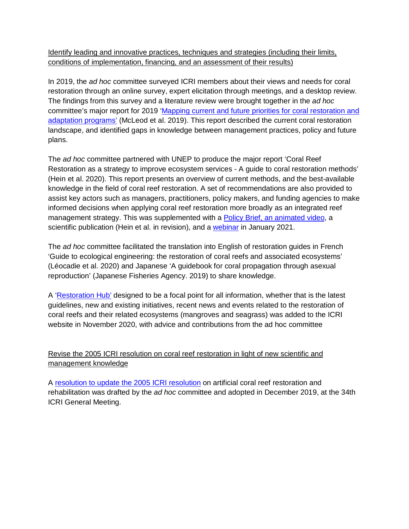Identify leading and innovative practices, techniques and strategies (including their limits, conditions of implementation, financing, and an assessment of their results)

In 2019, the *ad hoc* committee surveyed ICRI members about their views and needs for coral restoration through an online survey, expert elicitation through meetings, and a desktop review. The findings from this survey and a literature review were brought together in the *ad hoc* committee's major report for 2019 ['Mapping current and future priorities for coral restoration and](https://www.icriforum.org/reef-restoration-ad-hoc-committee/)  [adaptation programs'](https://www.icriforum.org/reef-restoration-ad-hoc-committee/) (McLeod et al. 2019). This report described the current coral restoration landscape, and identified gaps in knowledge between management practices, policy and future plans.

The *ad hoc* committee partnered with UNEP to produce the major report 'Coral Reef Restoration as a strategy to improve ecosystem services - A guide to coral restoration methods' (Hein et al. 2020). This report presents an overview of current methods, and the best-available knowledge in the field of coral reef restoration. A set of recommendations are also provided to assist key actors such as managers, practitioners, policy makers, and funding agencies to make informed decisions when applying coral reef restoration more broadly as an integrated reef management strategy. This was supplemented with a [Policy Brief, an animated video,](https://www.unenvironment.org/resources/report/coral-reef-restoration-guide-coral-restoration-method) a scientific publication (Hein et al. in revision), and a [webinar](https://www.youtube.com/watch?v=T4AlD3OrCr8) in January 2021.

The *ad hoc* committee facilitated the translation into English of restoration guides in French 'Guide to ecological engineering: the restoration of coral reefs and associated ecosystems' (Léocadie et al. 2020) and Japanese 'A guidebook for coral propagation through asexual reproduction' (Japanese Fisheries Agency. 2019) to share knowledge.

A ['Restoration Hub'](https://www.icriforum.org/restoration/) designed to be a focal point for all information, whether that is the latest guidelines, new and existing initiatives, recent news and events related to the restoration of coral reefs and their related ecosystems (mangroves and seagrass) was added to the ICRI website in November 2020, with advice and contributions from the ad hoc committee

# Revise the 2005 ICRI resolution on coral reef restoration in light of new scientific and management knowledge

A resolution [to update the 2005 ICRI resolution](https://www.icriforum.org/wp-content/uploads/2020/05/ICRIGM34-Resolution-artificial-coral-reef-restoration-rehabilitation.pdf) on artificial coral reef restoration and rehabilitation was drafted by the *ad hoc* committee and adopted in December 2019, at the 34th ICRI General Meeting.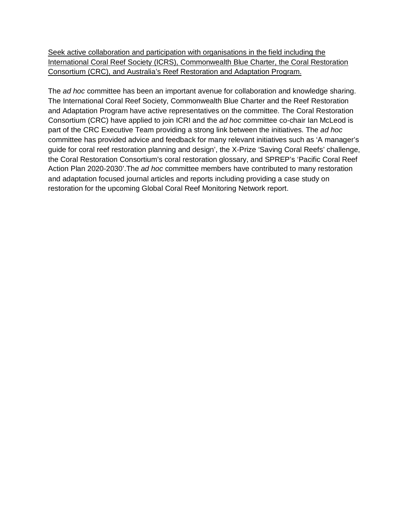Seek active collaboration and participation with organisations in the field including the International Coral Reef Society (ICRS), Commonwealth Blue Charter, the Coral Restoration Consortium (CRC), and Australia's Reef Restoration and Adaptation Program.

The *ad hoc* committee has been an important avenue for collaboration and knowledge sharing. The International Coral Reef Society, Commonwealth Blue Charter and the Reef Restoration and Adaptation Program have active representatives on the committee. The Coral Restoration Consortium (CRC) have applied to join ICRI and the *ad hoc* committee co-chair Ian McLeod is part of the CRC Executive Team providing a strong link between the initiatives. The *ad hoc* committee has provided advice and feedback for many relevant initiatives such as 'A manager's guide for coral reef restoration planning and design', the X-Prize 'Saving Coral Reefs' challenge, the Coral Restoration Consortium's coral restoration glossary, and SPREP's 'Pacific Coral Reef Action Plan 2020-2030'.The *ad hoc* committee members have contributed to many restoration and adaptation focused journal articles and reports including providing a case study on restoration for the upcoming Global Coral Reef Monitoring Network report.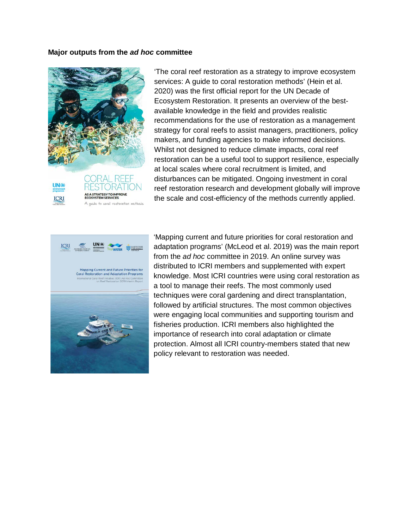#### **Major outputs from the** *ad hoc* **committee**



ORAL REEF **UN**® **TRATEGY TO IMPROVE**<br>YSTEM SERVICES ICRI A guide to coral restoration methods 'The coral reef restoration as a strategy to improve ecosystem services: A guide to coral restoration methods' (Hein et al. 2020) was the first official report for the UN Decade of Ecosystem Restoration. It presents an overview of the bestavailable knowledge in the field and provides realistic recommendations for the use of restoration as a management strategy for coral reefs to assist managers, practitioners, policy makers, and funding agencies to make informed decisions. Whilst not designed to reduce climate impacts, coral reef restoration can be a useful tool to support resilience, especially at local scales where coral recruitment is limited, and disturbances can be mitigated. Ongoing investment in coral reef restoration research and development globally will improve the scale and cost-efficiency of the methods currently applied.



'Mapping current and future priorities for coral restoration and adaptation programs' (McLeod et al. 2019) was the main report from the *ad hoc* committee in 2019. An online survey was distributed to ICRI members and supplemented with expert knowledge. Most ICRI countries were using coral restoration as a tool to manage their reefs. The most commonly used techniques were coral gardening and direct transplantation, followed by artificial structures. The most common objectives were engaging local communities and supporting tourism and fisheries production. ICRI members also highlighted the importance of research into coral adaptation or climate protection. Almost all ICRI country-members stated that new policy relevant to restoration was needed.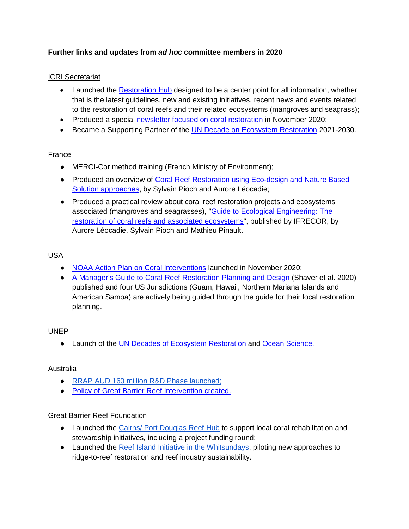# **Further links and updates from** *ad hoc* **committee members in 2020**

# ICRI Secretariat

- Launched the [Restoration Hub](https://www.icriforum.org/restoration/) designed to be a center point for all information, whether that is the latest guidelines, new and existing initiatives, recent news and events related to the restoration of coral reefs and their related ecosystems (mangroves and seagrass);
- Produced a special [newsletter focused on coral restoration](https://us17.campaign-archive.com/?u=c6fd4c848938a68c967e5d257&id=7ab3e0bb96) in November 2020;
- Became a Supporting Partner of the [UN Decade on Ecosystem Restoration](https://www.decadeonrestoration.org/types-ecosystem-restoration/oceans-and-coasts) 2021-2030.

## France

- MERCI-Cor method training (French Ministry of Environment);
- Produced an overview of [Coral Reef Restoration using Eco-design and Nature Based](https://www.icriforum.org/wp-content/uploads/2019/12/OVERVIEW%20of%20eco-mooring-light_0.pdf)  [Solution approaches,](https://www.icriforum.org/wp-content/uploads/2019/12/OVERVIEW%20of%20eco-mooring-light_0.pdf) by Sylvain Pioch and Aurore Léocadie;
- Produced a practical review about coral reef restoration projects and ecosystems associated (mangroves and seagrasses), "Guide to Ecological Engineering: The restoration [of coral reefs and associated ecosystems"](https://www.icriforum.org/guide-to-ecological-engineering-the-restoration-of-coral-reefs-and-associated-ecosystems/), published by IFRECOR, by Aurore Léocadie, Sylvain Pioch and Mathieu Pinault.

## USA

- NOAA Action Plan on Coral Interventions launched in November 2020;
- [A Manager's Guide to Coral Reef Restoration Planning and Design](https://www.coris.noaa.gov/activities/restoration_guide/welcome.html) (Shaver et al. 2020) published and four US Jurisdictions (Guam, Hawaii, Northern Mariana Islands and American Samoa) are actively being guided through the guide for their local restoration planning.

#### UNEP

● Launch of the [UN Decades of Ecosystem Restoration](https://www.decadeonrestoration.org/types-ecosystem-restoration/oceans-and-coasts) and [Ocean Science.](https://www.oceandecade.org/)

#### Australia

- RRAP AUD [160 million R&D Phase launched;](https://gbrrestoration.org/)
- [Policy of Great Barrier Reef Intervention created.](https://www.icriforum.org/guiding-new-and-innovative-ways-to-boost-great-barrier-reef-health/)

#### Great Barrier Reef Foundation

- Launched the [Cairns/ Port Douglas Reef Hub](https://www.barrierreef.org/what-we-do/reef-trust-partnership/community-reef-protection/cairns-port-douglas-reef-restoration-hub-and-local-scale-reef-restoration-projects) to support local coral rehabilitation and stewardship initiatives, including a project funding round;
- Launched the [Reef Island Initiative in the Whitsundays,](https://www.barrierreef.org/what-we-do/projects/reef-islands#the-whitsundays) piloting new approaches to ridge-to-reef restoration and reef industry sustainability.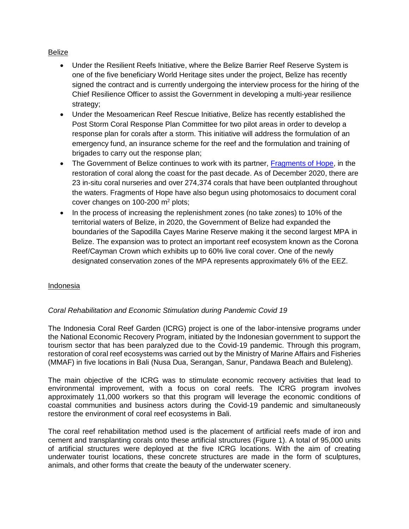#### Belize

- Under the Resilient Reefs Initiative, where the Belize Barrier Reef Reserve System is one of the five beneficiary World Heritage sites under the project, Belize has recently signed the contract and is currently undergoing the interview process for the hiring of the Chief Resilience Officer to assist the Government in developing a multi-year resilience strategy;
- Under the Mesoamerican Reef Rescue Initiative, Belize has recently established the Post Storm Coral Response Plan Committee for two pilot areas in order to develop a response plan for corals after a storm. This initiative will address the formulation of an emergency fund, an insurance scheme for the reef and the formulation and training of brigades to carry out the response plan;
- The Government of Belize continues to work with its partner, [Fragments of Hope,](http://fragmentsofhope.org/) in the restoration of coral along the coast for the past decade. As of December 2020, there are 23 in-situ coral nurseries and over 274,374 corals that have been outplanted throughout the waters. Fragments of Hope have also begun using photomosaics to document coral cover changes on  $100-200$  m<sup>2</sup> plots;
- In the process of increasing the replenishment zones (no take zones) to 10% of the territorial waters of Belize, in 2020, the Government of Belize had expanded the boundaries of the Sapodilla Cayes Marine Reserve making it the second largest MPA in Belize. The expansion was to protect an important reef ecosystem known as the Corona Reef/Cayman Crown which exhibits up to 60% live coral cover. One of the newly designated conservation zones of the MPA represents approximately 6% of the EEZ.

#### Indonesia

# *Coral Rehabilitation and Economic Stimulation during Pandemic Covid 19*

The Indonesia Coral Reef Garden (ICRG) project is one of the labor-intensive programs under the National Economic Recovery Program, initiated by the Indonesian government to support the tourism sector that has been paralyzed due to the Covid-19 pandemic. Through this program, restoration of coral reef ecosystems was carried out by the Ministry of Marine Affairs and Fisheries (MMAF) in five locations in Bali (Nusa Dua, Serangan, Sanur, Pandawa Beach and Buleleng).

The main objective of the ICRG was to stimulate economic recovery activities that lead to environmental improvement, with a focus on coral reefs. The ICRG program involves approximately 11,000 workers so that this program will leverage the economic conditions of coastal communities and business actors during the Covid-19 pandemic and simultaneously restore the environment of coral reef ecosystems in Bali.

The coral reef rehabilitation method used is the placement of artificial reefs made of iron and cement and transplanting corals onto these artificial structures (Figure 1). A total of 95,000 units of artificial structures were deployed at the five ICRG locations. With the aim of creating underwater tourist locations, these concrete structures are made in the form of sculptures, animals, and other forms that create the beauty of the underwater scenery.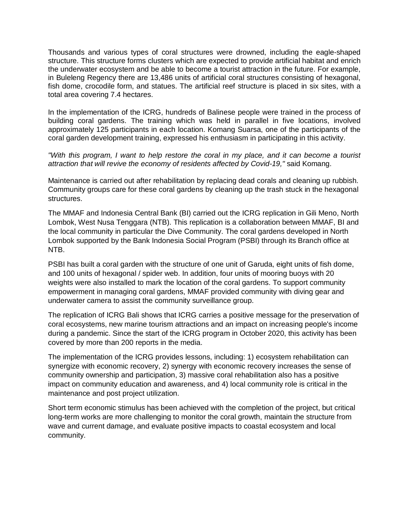Thousands and various types of coral structures were drowned, including the eagle-shaped structure. This structure forms clusters which are expected to provide artificial habitat and enrich the underwater ecosystem and be able to become a tourist attraction in the future. For example, in Buleleng Regency there are 13,486 units of artificial coral structures consisting of hexagonal, fish dome, crocodile form, and statues. The artificial reef structure is placed in six sites, with a total area covering 7.4 hectares.

In the implementation of the ICRG, hundreds of Balinese people were trained in the process of building coral gardens. The training which was held in parallel in five locations, involved approximately 125 participants in each location. Komang Suarsa, one of the participants of the coral garden development training, expressed his enthusiasm in participating in this activity.

*"With this program, I want to help restore the coral in my place, and it can become a tourist attraction that will revive the economy of residents affected by Covid-19,"* said Komang.

Maintenance is carried out after rehabilitation by replacing dead corals and cleaning up rubbish. Community groups care for these coral gardens by cleaning up the trash stuck in the hexagonal structures.

The MMAF and Indonesia Central Bank (BI) carried out the ICRG replication in Gili Meno, North Lombok, West Nusa Tenggara (NTB). This replication is a collaboration between MMAF, BI and the local community in particular the Dive Community. The coral gardens developed in North Lombok supported by the Bank Indonesia Social Program (PSBI) through its Branch office at NTB.

PSBI has built a coral garden with the structure of one unit of Garuda, eight units of fish dome, and 100 units of hexagonal / spider web. In addition, four units of mooring buoys with 20 weights were also installed to mark the location of the coral gardens. To support community empowerment in managing coral gardens, MMAF provided community with diving gear and underwater camera to assist the community surveillance group.

The replication of ICRG Bali shows that ICRG carries a positive message for the preservation of coral ecosystems, new marine tourism attractions and an impact on increasing people's income during a pandemic. Since the start of the ICRG program in October 2020, this activity has been covered by more than 200 reports in the media.

The implementation of the ICRG provides lessons, including: 1) ecosystem rehabilitation can synergize with economic recovery, 2) synergy with economic recovery increases the sense of community ownership and participation, 3) massive coral rehabilitation also has a positive impact on community education and awareness, and 4) local community role is critical in the maintenance and post project utilization.

Short term economic stimulus has been achieved with the completion of the project, but critical long-term works are more challenging to monitor the coral growth, maintain the structure from wave and current damage, and evaluate positive impacts to coastal ecosystem and local community.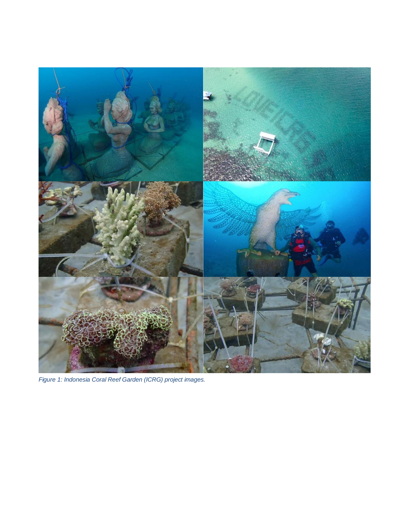

*Figure 1: Indonesia Coral Reef Garden (ICRG) project images.*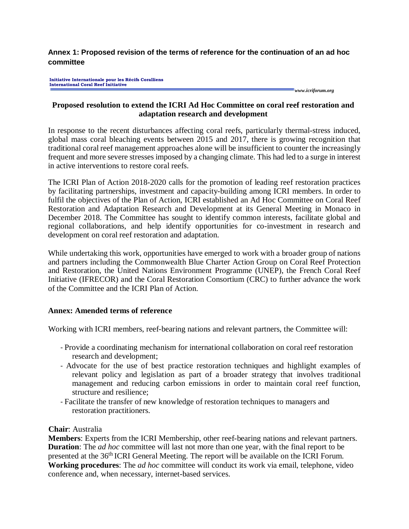**Annex 1: Proposed revision of the terms of reference for the continuation of an ad hoc committee**

**Initiative Internationale pour les Récifs Coralliens International Coral Reef Initiative** 

*www.icriforum.org* 

# **Proposed resolution to extend the ICRI Ad Hoc Committee on coral reef restoration and adaptation research and development**

In response to the recent disturbances affecting coral reefs, particularly thermal-stress induced, global mass coral bleaching events between 2015 and 2017, there is growing recognition that traditional coral reef management approaches alone will be insufficient to counter the increasingly frequent and more severe stresses imposed by a changing climate. This had led to a surge in interest in active interventions to restore coral reefs.

The ICRI Plan of Action 2018-2020 calls for the promotion of leading reef restoration practices by facilitating partnerships, investment and capacity-building among ICRI members. In order to fulfil the objectives of the Plan of Action, ICRI established an Ad Hoc Committee on Coral Reef Restoration and Adaptation Research and Development at its General Meeting in Monaco in December 2018. The Committee has sought to identify common interests, facilitate global and regional collaborations, and help identify opportunities for co-investment in research and development on coral reef restoration and adaptation.

While undertaking this work, opportunities have emerged to work with a broader group of nations and partners including the Commonwealth Blue Charter Action Group on Coral Reef Protection and Restoration, the United Nations Environment Programme (UNEP), the French Coral Reef Initiative (IFRECOR) and the Coral Restoration Consortium (CRC) to further advance the work of the Committee and the ICRI Plan of Action.

# **Annex: Amended terms of reference**

Working with ICRI members, reef-bearing nations and relevant partners, the Committee will:

- Provide a coordinating mechanism for international collaboration on coral reef restoration research and development;
- Advocate for the use of best practice restoration techniques and highlight examples of relevant policy and legislation as part of a broader strategy that involves traditional management and reducing carbon emissions in order to maintain coral reef function, structure and resilience;
- Facilitate the transfer of new knowledge of restoration techniques to managers and restoration practitioners.

# **Chair**: Australia

**Members**: Experts from the ICRI Membership, other reef-bearing nations and relevant partners. **Duration**: The *ad hoc* committee will last not more than one year, with the final report to be presented at the 36<sup>th</sup> ICRI General Meeting. The report will be available on the ICRI Forum. **Working procedures**: The *ad hoc* committee will conduct its work via email, telephone, video conference and, when necessary, internet-based services.